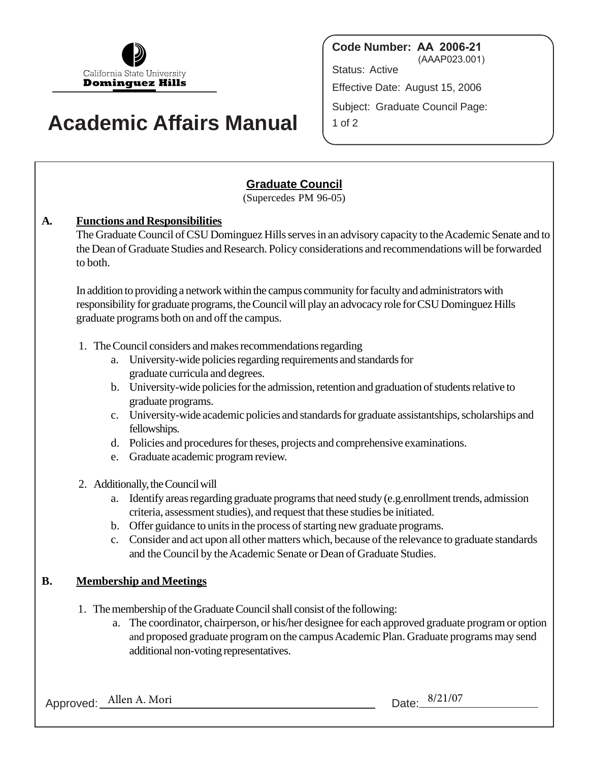

# **Academic Affairs Manual**

**Code Number: AA 2006-21** (AAAP023.001) Status: Active Effective Date: August 15, 2006 Subject: Graduate Council Page: 1 of 2

## **Graduate Council**

(Supercedes PM 96-05)

### **A. Functions and Responsibilities**

The Graduate Council of CSU Dominguez Hills serves in an advisory capacity to the Academic Senate and to the Dean of Graduate Studies and Research. Policy considerations and recommendations will be forwarded to both.

In addition to providing a network within the campus community for faculty and administrators with responsibility for graduate programs, the Council will play an advocacy role for CSU Dominguez Hills graduate programs both on and off the campus.

- 1. The Council considers and makes recommendations regarding
	- a. University-wide policies regarding requirements and standards for graduate curricula and degrees.
	- b. University-wide policies for the admission, retention and graduation of students relative to graduate programs.
	- c. University-wide academic policies and standards for graduate assistantships, scholarships and fellowships.
	- d. Policies and procedures for theses, projects and comprehensive examinations.
	- e. Graduate academic program review.
- 2. Additionally, the Council will
	- a. Identify areas regarding graduate programs that need study (e.g.enrollment trends, admission criteria, assessment studies), and request that these studies be initiated.
	- b. Offer guidance to units in the process of starting new graduate programs.
	- c. Consider and act upon all other matters which, because of the relevance to graduate standards and the Council by the Academic Senate or Dean of Graduate Studies.

### **B. Membership and Meetings**

- 1. The membership of the Graduate Council shall consist of the following:
	- a. The coordinator, chairperson, or his/her designee for each approved graduate program or option and proposed graduate program on the campus Academic Plan. Graduate programs may send additional non-voting representatives.

Approved: Allen A. Mori Data: 8/21/07